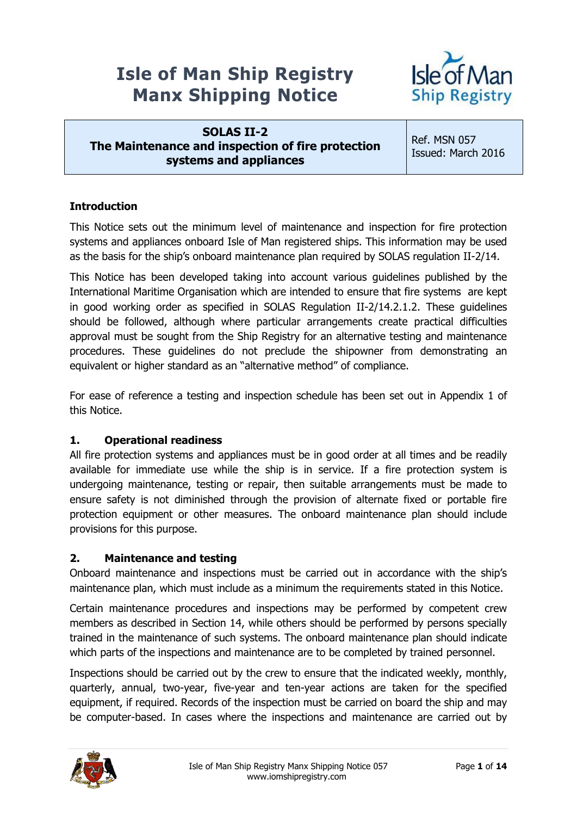# **Isle of Man Ship Registry Manx Shipping Notice**



**SOLAS II-2 The Maintenance and inspection of fire protection systems and appliances**

Ref. MSN 057 Issued: March 2016

# **Introduction**

This Notice sets out the minimum level of maintenance and inspection for fire protection systems and appliances onboard Isle of Man registered ships. This information may be used as the basis for the ship's onboard maintenance plan required by SOLAS regulation II-2/14.

This Notice has been developed taking into account various guidelines published by the International Maritime Organisation which are intended to ensure that fire systems are kept in good working order as specified in SOLAS Regulation II-2/14.2.1.2. These guidelines should be followed, although where particular arrangements create practical difficulties approval must be sought from the Ship Registry for an alternative testing and maintenance procedures. These guidelines do not preclude the shipowner from demonstrating an equivalent or higher standard as an "alternative method" of compliance.

For ease of reference a testing and inspection schedule has been set out in Appendix 1 of this Notice.

# **1. Operational readiness**

All fire protection systems and appliances must be in good order at all times and be readily available for immediate use while the ship is in service. If a fire protection system is undergoing maintenance, testing or repair, then suitable arrangements must be made to ensure safety is not diminished through the provision of alternate fixed or portable fire protection equipment or other measures. The onboard maintenance plan should include provisions for this purpose.

#### **2. Maintenance and testing**

Onboard maintenance and inspections must be carried out in accordance with the ship's maintenance plan, which must include as a minimum the requirements stated in this Notice.

Certain maintenance procedures and inspections may be performed by competent crew members as described in Section 14, while others should be performed by persons specially trained in the maintenance of such systems. The onboard maintenance plan should indicate which parts of the inspections and maintenance are to be completed by trained personnel.

Inspections should be carried out by the crew to ensure that the indicated weekly, monthly, quarterly, annual, two-year, five-year and ten-year actions are taken for the specified equipment, if required. Records of the inspection must be carried on board the ship and may be computer-based. In cases where the inspections and maintenance are carried out by

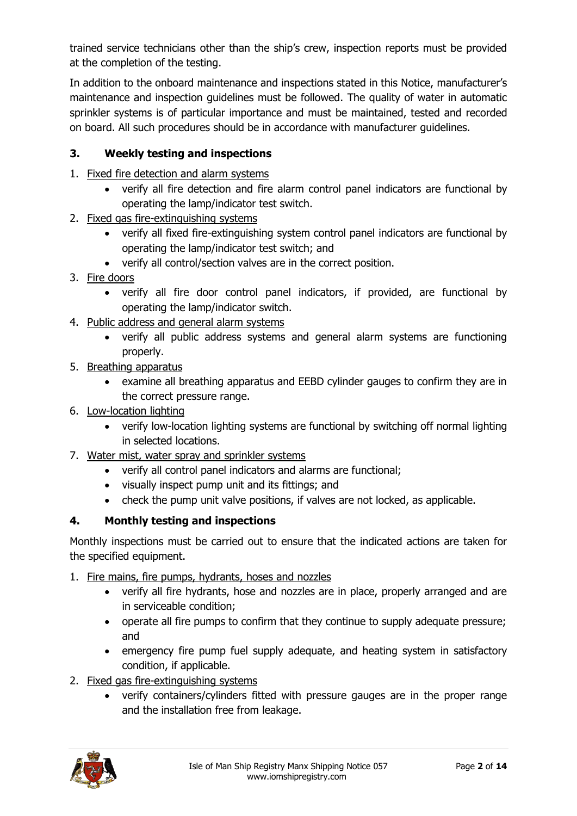trained service technicians other than the ship's crew, inspection reports must be provided at the completion of the testing.

In addition to the onboard maintenance and inspections stated in this Notice, manufacturer's maintenance and inspection guidelines must be followed. The quality of water in automatic sprinkler systems is of particular importance and must be maintained, tested and recorded on board. All such procedures should be in accordance with manufacturer guidelines.

# **3. Weekly testing and inspections**

- 1. Fixed fire detection and alarm systems
	- verify all fire detection and fire alarm control panel indicators are functional by operating the lamp/indicator test switch.
- 2. Fixed gas fire-extinguishing systems
	- verify all fixed fire-extinguishing system control panel indicators are functional by operating the lamp/indicator test switch; and
	- verify all control/section valves are in the correct position.
- 3. Fire doors
	- verify all fire door control panel indicators, if provided, are functional by operating the lamp/indicator switch.
- 4. Public address and general alarm systems
	- verify all public address systems and general alarm systems are functioning properly.
- 5. Breathing apparatus
	- examine all breathing apparatus and EEBD cylinder gauges to confirm they are in the correct pressure range.
- 6. Low-location lighting
	- verify low-location lighting systems are functional by switching off normal lighting in selected locations.
- 7. Water mist, water spray and sprinkler systems
	- verify all control panel indicators and alarms are functional;
	- visually inspect pump unit and its fittings; and
	- check the pump unit valve positions, if valves are not locked, as applicable.

# **4. Monthly testing and inspections**

Monthly inspections must be carried out to ensure that the indicated actions are taken for the specified equipment.

- 1. Fire mains, fire pumps, hydrants, hoses and nozzles
	- verify all fire hydrants, hose and nozzles are in place, properly arranged and are in serviceable condition;
	- operate all fire pumps to confirm that they continue to supply adequate pressure; and
	- emergency fire pump fuel supply adequate, and heating system in satisfactory condition, if applicable.
- 2. Fixed gas fire-extinguishing systems
	- verify containers/cylinders fitted with pressure gauges are in the proper range and the installation free from leakage.

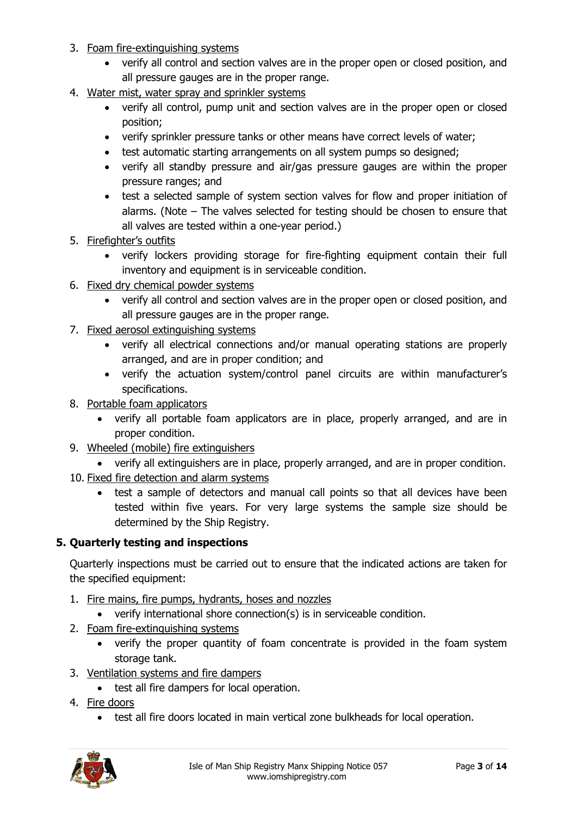- 3. Foam fire-extinguishing systems
	- verify all control and section valves are in the proper open or closed position, and all pressure gauges are in the proper range.
- 4. Water mist, water spray and sprinkler systems
	- verify all control, pump unit and section valves are in the proper open or closed position;
	- verify sprinkler pressure tanks or other means have correct levels of water;
	- test automatic starting arrangements on all system pumps so designed;
	- verify all standby pressure and air/gas pressure gauges are within the proper pressure ranges; and
	- test a selected sample of system section valves for flow and proper initiation of alarms. (Note – The valves selected for testing should be chosen to ensure that all valves are tested within a one-year period.)
- 5. Firefighter's outfits
	- verify lockers providing storage for fire-fighting equipment contain their full inventory and equipment is in serviceable condition.
- 6. Fixed dry chemical powder systems
	- verify all control and section valves are in the proper open or closed position, and all pressure gauges are in the proper range.
- 7. Fixed aerosol extinguishing systems
	- verify all electrical connections and/or manual operating stations are properly arranged, and are in proper condition; and
	- verify the actuation system/control panel circuits are within manufacturer's specifications.
- 8. Portable foam applicators
	- verify all portable foam applicators are in place, properly arranged, and are in proper condition.
- 9. Wheeled (mobile) fire extinguishers
	- verify all extinguishers are in place, properly arranged, and are in proper condition.
- 10. Fixed fire detection and alarm systems
	- test a sample of detectors and manual call points so that all devices have been tested within five years. For very large systems the sample size should be determined by the Ship Registry.

#### **5. Quarterly testing and inspections**

Quarterly inspections must be carried out to ensure that the indicated actions are taken for the specified equipment:

- 1. Fire mains, fire pumps, hydrants, hoses and nozzles
	- verify international shore connection(s) is in serviceable condition.
- 2. Foam fire-extinguishing systems
	- verify the proper quantity of foam concentrate is provided in the foam system storage tank.
- 3. Ventilation systems and fire dampers
	- test all fire dampers for local operation.
- 4. Fire doors
	- test all fire doors located in main vertical zone bulkheads for local operation.

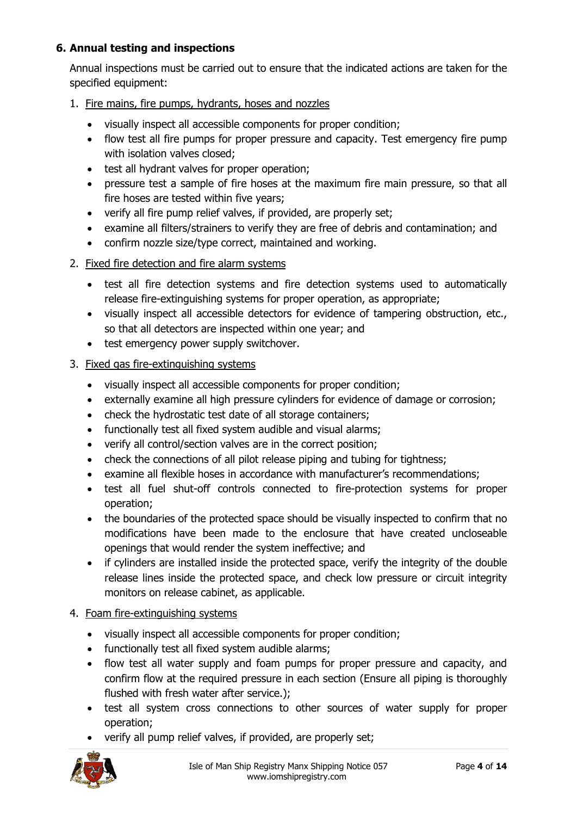# **6. Annual testing and inspections**

Annual inspections must be carried out to ensure that the indicated actions are taken for the specified equipment:

- 1. Fire mains, fire pumps, hydrants, hoses and nozzles
	- visually inspect all accessible components for proper condition;
	- flow test all fire pumps for proper pressure and capacity. Test emergency fire pump with isolation valves closed;
	- test all hydrant valves for proper operation;
	- pressure test a sample of fire hoses at the maximum fire main pressure, so that all fire hoses are tested within five years;
	- verify all fire pump relief valves, if provided, are properly set;
	- examine all filters/strainers to verify they are free of debris and contamination; and
	- confirm nozzle size/type correct, maintained and working.
- 2. Fixed fire detection and fire alarm systems
	- test all fire detection systems and fire detection systems used to automatically release fire-extinguishing systems for proper operation, as appropriate;
	- visually inspect all accessible detectors for evidence of tampering obstruction, etc., so that all detectors are inspected within one year; and
	- test emergency power supply switchover.
- 3. Fixed gas fire-extinguishing systems
	- visually inspect all accessible components for proper condition;
	- externally examine all high pressure cylinders for evidence of damage or corrosion;
	- check the hydrostatic test date of all storage containers;
	- functionally test all fixed system audible and visual alarms;
	- verify all control/section valves are in the correct position;
	- check the connections of all pilot release piping and tubing for tightness;
	- examine all flexible hoses in accordance with manufacturer's recommendations;
	- test all fuel shut-off controls connected to fire-protection systems for proper operation;
	- the boundaries of the protected space should be visually inspected to confirm that no modifications have been made to the enclosure that have created uncloseable openings that would render the system ineffective; and
	- if cylinders are installed inside the protected space, verify the integrity of the double release lines inside the protected space, and check low pressure or circuit integrity monitors on release cabinet, as applicable.

#### 4. Foam fire-extinguishing systems

- visually inspect all accessible components for proper condition;
- functionally test all fixed system audible alarms;
- flow test all water supply and foam pumps for proper pressure and capacity, and confirm flow at the required pressure in each section (Ensure all piping is thoroughly flushed with fresh water after service.);
- test all system cross connections to other sources of water supply for proper operation;
- verify all pump relief valves, if provided, are properly set;

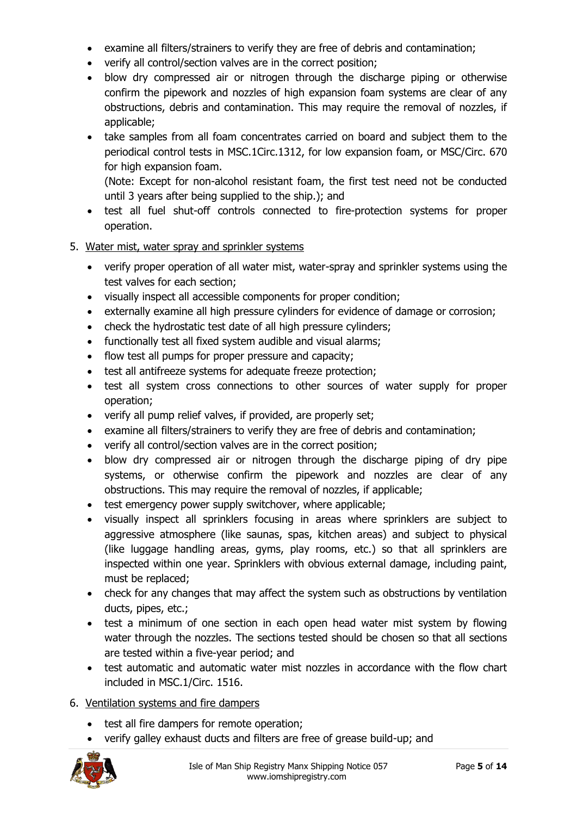- examine all filters/strainers to verify they are free of debris and contamination;
- verify all control/section valves are in the correct position;
- blow dry compressed air or nitrogen through the discharge piping or otherwise confirm the pipework and nozzles of high expansion foam systems are clear of any obstructions, debris and contamination. This may require the removal of nozzles, if applicable;
- take samples from all foam concentrates carried on board and subject them to the periodical control tests in MSC.1Circ.1312, for low expansion foam, or MSC/Circ. 670 for high expansion foam.

(Note: Except for non-alcohol resistant foam, the first test need not be conducted until 3 years after being supplied to the ship.); and

 test all fuel shut-off controls connected to fire-protection systems for proper operation.

#### 5. Water mist, water spray and sprinkler systems

- verify proper operation of all water mist, water-spray and sprinkler systems using the test valves for each section;
- visually inspect all accessible components for proper condition;
- externally examine all high pressure cylinders for evidence of damage or corrosion;
- check the hydrostatic test date of all high pressure cylinders;
- functionally test all fixed system audible and visual alarms;
- flow test all pumps for proper pressure and capacity;
- test all antifreeze systems for adequate freeze protection;
- test all system cross connections to other sources of water supply for proper operation;
- verify all pump relief valves, if provided, are properly set;
- examine all filters/strainers to verify they are free of debris and contamination;
- verify all control/section valves are in the correct position;
- blow dry compressed air or nitrogen through the discharge piping of dry pipe systems, or otherwise confirm the pipework and nozzles are clear of any obstructions. This may require the removal of nozzles, if applicable;
- test emergency power supply switchover, where applicable;
- visually inspect all sprinklers focusing in areas where sprinklers are subject to aggressive atmosphere (like saunas, spas, kitchen areas) and subject to physical (like luggage handling areas, gyms, play rooms, etc.) so that all sprinklers are inspected within one year. Sprinklers with obvious external damage, including paint, must be replaced;
- check for any changes that may affect the system such as obstructions by ventilation ducts, pipes, etc.;
- test a minimum of one section in each open head water mist system by flowing water through the nozzles. The sections tested should be chosen so that all sections are tested within a five-year period; and
- test automatic and automatic water mist nozzles in accordance with the flow chart included in MSC.1/Circ. 1516.

# 6. Ventilation systems and fire dampers

- test all fire dampers for remote operation;
- verify galley exhaust ducts and filters are free of grease build-up; and

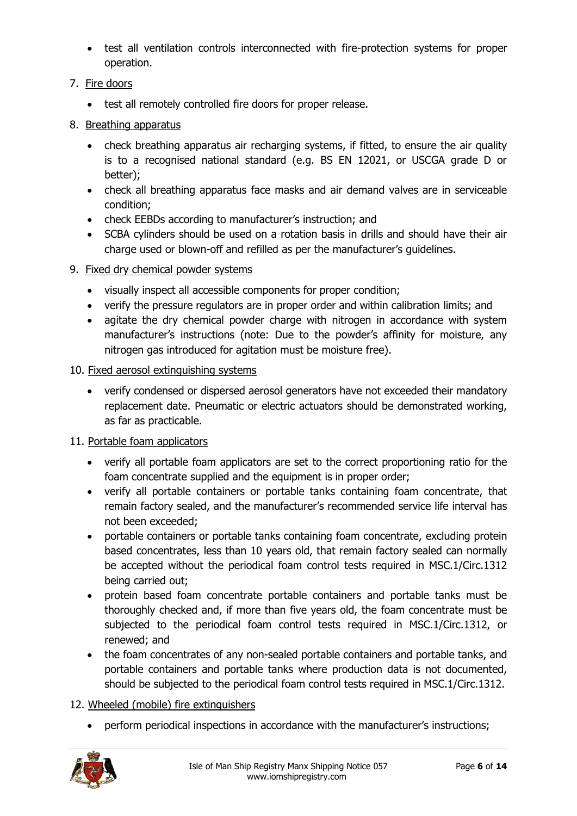- test all ventilation controls interconnected with fire-protection systems for proper operation.
- 7. Fire doors
	- test all remotely controlled fire doors for proper release.
- 8. Breathing apparatus
	- check breathing apparatus air recharging systems, if fitted, to ensure the air quality is to a recognised national standard (e.g. BS EN 12021, or USCGA grade D or better);
	- check all breathing apparatus face masks and air demand valves are in serviceable condition;
	- check EEBDs according to manufacturer's instruction; and
	- SCBA cylinders should be used on a rotation basis in drills and should have their air charge used or blown-off and refilled as per the manufacturer's guidelines.
- 9. Fixed dry chemical powder systems
	- visually inspect all accessible components for proper condition;
	- verify the pressure regulators are in proper order and within calibration limits; and
	- agitate the dry chemical powder charge with nitrogen in accordance with system manufacturer's instructions (note: Due to the powder's affinity for moisture, any nitrogen gas introduced for agitation must be moisture free).

#### 10. Fixed aerosol extinguishing systems

 verify condensed or dispersed aerosol generators have not exceeded their mandatory replacement date. Pneumatic or electric actuators should be demonstrated working, as far as practicable.

#### 11. Portable foam applicators

- verify all portable foam applicators are set to the correct proportioning ratio for the foam concentrate supplied and the equipment is in proper order;
- verify all portable containers or portable tanks containing foam concentrate, that remain factory sealed, and the manufacturer's recommended service life interval has not been exceeded;
- portable containers or portable tanks containing foam concentrate, excluding protein based concentrates, less than 10 years old, that remain factory sealed can normally be accepted without the periodical foam control tests required in MSC.1/Circ.1312 being carried out;
- protein based foam concentrate portable containers and portable tanks must be thoroughly checked and, if more than five years old, the foam concentrate must be subjected to the periodical foam control tests required in MSC.1/Circ.1312, or renewed; and
- the foam concentrates of any non-sealed portable containers and portable tanks, and portable containers and portable tanks where production data is not documented, should be subjected to the periodical foam control tests required in MSC.1/Circ.1312.

#### 12. Wheeled (mobile) fire extinguishers

perform periodical inspections in accordance with the manufacturer's instructions;

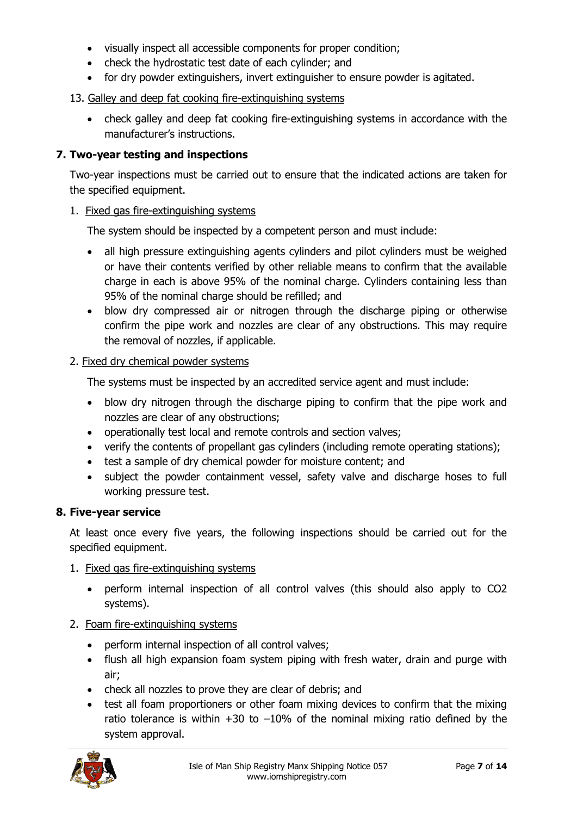- visually inspect all accessible components for proper condition;
- check the hydrostatic test date of each cylinder; and
- for dry powder extinguishers, invert extinguisher to ensure powder is agitated.

#### 13. Galley and deep fat cooking fire-extinguishing systems

 check galley and deep fat cooking fire-extinguishing systems in accordance with the manufacturer's instructions.

### **7. Two-year testing and inspections**

Two-year inspections must be carried out to ensure that the indicated actions are taken for the specified equipment.

#### 1. Fixed gas fire-extinguishing systems

The system should be inspected by a competent person and must include:

- all high pressure extinguishing agents cylinders and pilot cylinders must be weighed or have their contents verified by other reliable means to confirm that the available charge in each is above 95% of the nominal charge. Cylinders containing less than 95% of the nominal charge should be refilled; and
- blow dry compressed air or nitrogen through the discharge piping or otherwise confirm the pipe work and nozzles are clear of any obstructions. This may require the removal of nozzles, if applicable.

### 2. Fixed dry chemical powder systems

The systems must be inspected by an accredited service agent and must include:

- blow dry nitrogen through the discharge piping to confirm that the pipe work and nozzles are clear of any obstructions;
- operationally test local and remote controls and section valves;
- verify the contents of propellant gas cylinders (including remote operating stations);
- test a sample of dry chemical powder for moisture content; and
- subject the powder containment vessel, safety valve and discharge hoses to full working pressure test.

#### **8. Five-year service**

At least once every five years, the following inspections should be carried out for the specified equipment.

- 1. Fixed gas fire-extinguishing systems
	- perform internal inspection of all control valves (this should also apply to CO2 systems).

#### 2. Foam fire-extinguishing systems

- perform internal inspection of all control valves;
- flush all high expansion foam system piping with fresh water, drain and purge with air;
- check all nozzles to prove they are clear of debris; and
- test all foam proportioners or other foam mixing devices to confirm that the mixing ratio tolerance is within  $+30$  to  $-10\%$  of the nominal mixing ratio defined by the system approval.

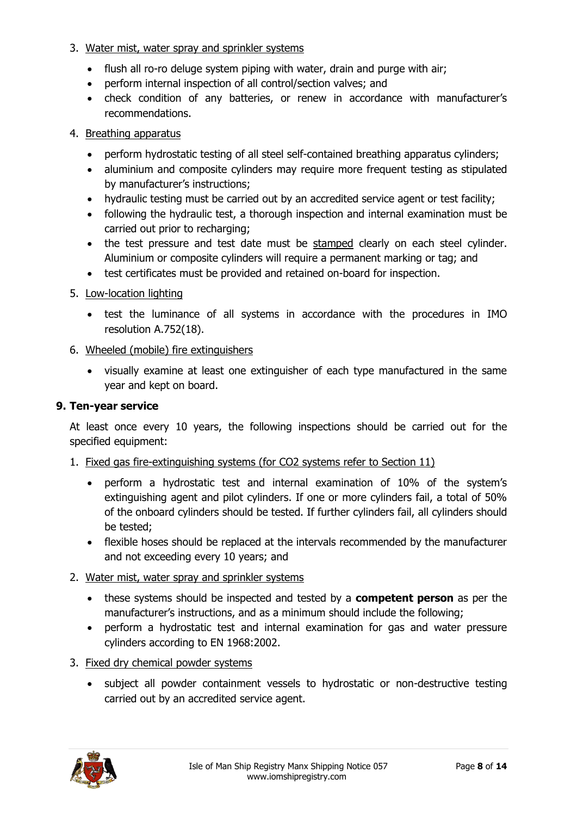#### 3. Water mist, water spray and sprinkler systems

- flush all ro-ro deluge system piping with water, drain and purge with air;
- perform internal inspection of all control/section valves; and
- check condition of any batteries, or renew in accordance with manufacturer's recommendations.

#### 4. Breathing apparatus

- perform hydrostatic testing of all steel self-contained breathing apparatus cylinders;
- aluminium and composite cylinders may require more frequent testing as stipulated by manufacturer's instructions;
- hydraulic testing must be carried out by an accredited service agent or test facility;
- following the hydraulic test, a thorough inspection and internal examination must be carried out prior to recharging;
- the test pressure and test date must be stamped clearly on each steel cylinder. Aluminium or composite cylinders will require a permanent marking or tag; and
- test certificates must be provided and retained on-board for inspection.
- 5. Low-location lighting
	- test the luminance of all systems in accordance with the procedures in IMO resolution A.752(18).
- 6. Wheeled (mobile) fire extinguishers
	- visually examine at least one extinguisher of each type manufactured in the same year and kept on board.

#### **9. Ten-year service**

At least once every 10 years, the following inspections should be carried out for the specified equipment:

- 1. Fixed gas fire-extinguishing systems (for CO2 systems refer to Section 11)
	- perform a hydrostatic test and internal examination of 10% of the system's extinguishing agent and pilot cylinders. If one or more cylinders fail, a total of 50% of the onboard cylinders should be tested. If further cylinders fail, all cylinders should be tested;
	- flexible hoses should be replaced at the intervals recommended by the manufacturer and not exceeding every 10 years; and
- 2. Water mist, water spray and sprinkler systems
	- these systems should be inspected and tested by a **competent person** as per the manufacturer's instructions, and as a minimum should include the following;
	- perform a hydrostatic test and internal examination for gas and water pressure cylinders according to EN 1968:2002.
- 3. Fixed dry chemical powder systems
	- subject all powder containment vessels to hydrostatic or non-destructive testing carried out by an accredited service agent.

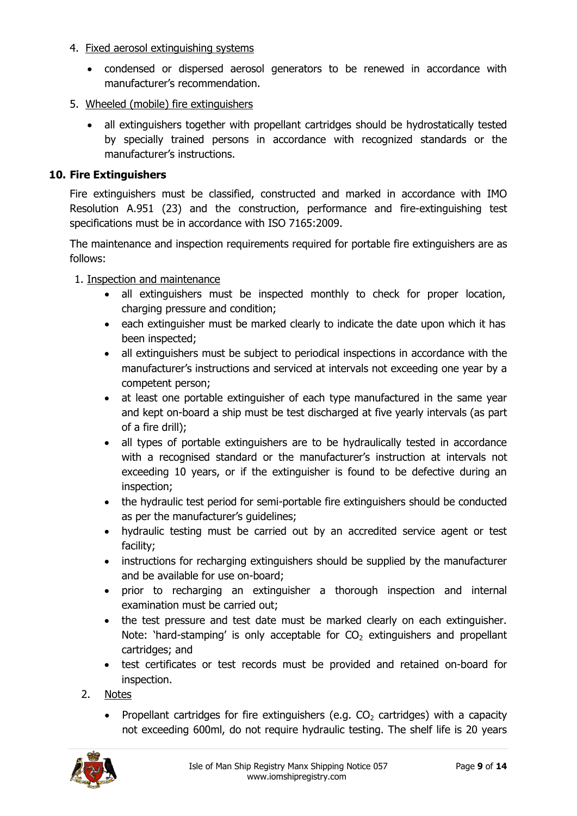- 4. Fixed aerosol extinguishing systems
	- condensed or dispersed aerosol generators to be renewed in accordance with manufacturer's recommendation.
- 5. Wheeled (mobile) fire extinguishers
	- all extinguishers together with propellant cartridges should be hydrostatically tested by specially trained persons in accordance with recognized standards or the manufacturer's instructions.

### **10. Fire Extinguishers**

Fire extinguishers must be classified, constructed and marked in accordance with IMO Resolution A.951 (23) and the construction, performance and fire-extinguishing test specifications must be in accordance with ISO 7165:2009.

The maintenance and inspection requirements required for portable fire extinguishers are as follows:

#### 1. Inspection and maintenance

- all extinguishers must be inspected monthly to check for proper location, charging pressure and condition;
- each extinguisher must be marked clearly to indicate the date upon which it has been inspected;
- all extinguishers must be subject to periodical inspections in accordance with the manufacturer's instructions and serviced at intervals not exceeding one year by a competent person;
- at least one portable extinguisher of each type manufactured in the same year and kept on-board a ship must be test discharged at five yearly intervals (as part of a fire drill);
- all types of portable extinguishers are to be hydraulically tested in accordance with a recognised standard or the manufacturer's instruction at intervals not exceeding 10 years, or if the extinguisher is found to be defective during an inspection;
- the hydraulic test period for semi-portable fire extinguishers should be conducted as per the manufacturer's guidelines;
- hydraulic testing must be carried out by an accredited service agent or test facility;
- instructions for recharging extinguishers should be supplied by the manufacturer and be available for use on-board;
- prior to recharging an extinguisher a thorough inspection and internal examination must be carried out;
- the test pressure and test date must be marked clearly on each extinguisher. Note: 'hard-stamping' is only acceptable for  $CO<sub>2</sub>$  extinguishers and propellant cartridges; and
- test certificates or test records must be provided and retained on-board for inspection.
- 2. Notes
	- Propellant cartridges for fire extinguishers (e.g.  $CO<sub>2</sub>$  cartridges) with a capacity not exceeding 600ml, do not require hydraulic testing. The shelf life is 20 years

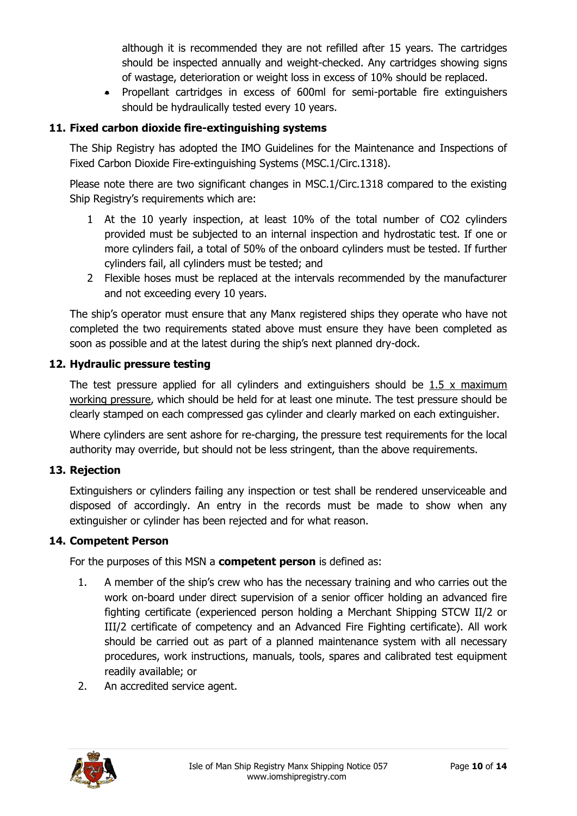although it is recommended they are not refilled after 15 years. The cartridges should be inspected annually and weight-checked. Any cartridges showing signs of wastage, deterioration or weight loss in excess of 10% should be replaced.

 Propellant cartridges in excess of 600ml for semi-portable fire extinguishers should be hydraulically tested every 10 years.

# **11. Fixed carbon dioxide fire-extinguishing systems**

The Ship Registry has adopted the IMO Guidelines for the Maintenance and Inspections of Fixed Carbon Dioxide Fire-extinguishing Systems (MSC.1/Circ.1318).

Please note there are two significant changes in MSC.1/Circ.1318 compared to the existing Ship Registry's requirements which are:

- 1 At the 10 yearly inspection, at least 10% of the total number of CO2 cylinders provided must be subjected to an internal inspection and hydrostatic test. If one or more cylinders fail, a total of 50% of the onboard cylinders must be tested. If further cylinders fail, all cylinders must be tested; and
- 2 Flexible hoses must be replaced at the intervals recommended by the manufacturer and not exceeding every 10 years.

The ship's operator must ensure that any Manx registered ships they operate who have not completed the two requirements stated above must ensure they have been completed as soon as possible and at the latest during the ship's next planned dry-dock.

#### **12. Hydraulic pressure testing**

The test pressure applied for all cylinders and extinguishers should be  $1.5 \times$  maximum working pressure, which should be held for at least one minute. The test pressure should be clearly stamped on each compressed gas cylinder and clearly marked on each extinguisher.

Where cylinders are sent ashore for re-charging, the pressure test requirements for the local authority may override, but should not be less stringent, than the above requirements.

#### **13. Rejection**

Extinguishers or cylinders failing any inspection or test shall be rendered unserviceable and disposed of accordingly. An entry in the records must be made to show when any extinguisher or cylinder has been rejected and for what reason.

#### **14. Competent Person**

For the purposes of this MSN a **competent person** is defined as:

- 1. A member of the ship's crew who has the necessary training and who carries out the work on-board under direct supervision of a senior officer holding an advanced fire fighting certificate (experienced person holding a Merchant Shipping STCW II/2 or III/2 certificate of competency and an Advanced Fire Fighting certificate). All work should be carried out as part of a planned maintenance system with all necessary procedures, work instructions, manuals, tools, spares and calibrated test equipment readily available; or
- 2. An accredited service agent.

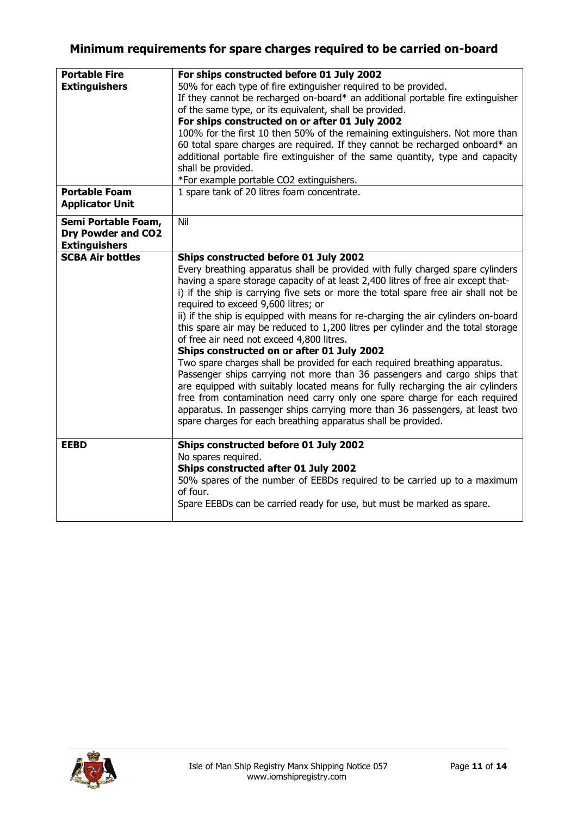# **Minimum requirements for spare charges required to be carried on-board**

| <b>Portable Fire</b><br><b>Extinguishers</b>                             | For ships constructed before 01 July 2002<br>50% for each type of fire extinguisher required to be provided.<br>If they cannot be recharged on-board* an additional portable fire extinguisher<br>of the same type, or its equivalent, shall be provided.<br>For ships constructed on or after 01 July 2002<br>100% for the first 10 then 50% of the remaining extinguishers. Not more than<br>60 total spare charges are required. If they cannot be recharged onboard* an<br>additional portable fire extinguisher of the same quantity, type and capacity                                                                                                                                                                                                                                                                                                                                                                                                                                                                                                                               |  |  |
|--------------------------------------------------------------------------|--------------------------------------------------------------------------------------------------------------------------------------------------------------------------------------------------------------------------------------------------------------------------------------------------------------------------------------------------------------------------------------------------------------------------------------------------------------------------------------------------------------------------------------------------------------------------------------------------------------------------------------------------------------------------------------------------------------------------------------------------------------------------------------------------------------------------------------------------------------------------------------------------------------------------------------------------------------------------------------------------------------------------------------------------------------------------------------------|--|--|
|                                                                          | shall be provided.<br>*For example portable CO2 extinguishers.                                                                                                                                                                                                                                                                                                                                                                                                                                                                                                                                                                                                                                                                                                                                                                                                                                                                                                                                                                                                                             |  |  |
| <b>Portable Foam</b><br><b>Applicator Unit</b>                           | 1 spare tank of 20 litres foam concentrate.                                                                                                                                                                                                                                                                                                                                                                                                                                                                                                                                                                                                                                                                                                                                                                                                                                                                                                                                                                                                                                                |  |  |
| Semi Portable Foam,<br><b>Dry Powder and CO2</b><br><b>Extinguishers</b> | Nil                                                                                                                                                                                                                                                                                                                                                                                                                                                                                                                                                                                                                                                                                                                                                                                                                                                                                                                                                                                                                                                                                        |  |  |
| <b>SCBA Air bottles</b>                                                  | Ships constructed before 01 July 2002<br>Every breathing apparatus shall be provided with fully charged spare cylinders<br>having a spare storage capacity of at least 2,400 litres of free air except that-<br>i) if the ship is carrying five sets or more the total spare free air shall not be<br>required to exceed 9,600 litres; or<br>ii) if the ship is equipped with means for re-charging the air cylinders on-board<br>this spare air may be reduced to 1,200 litres per cylinder and the total storage<br>of free air need not exceed 4,800 litres.<br>Ships constructed on or after 01 July 2002<br>Two spare charges shall be provided for each required breathing apparatus.<br>Passenger ships carrying not more than 36 passengers and cargo ships that<br>are equipped with suitably located means for fully recharging the air cylinders<br>free from contamination need carry only one spare charge for each required<br>apparatus. In passenger ships carrying more than 36 passengers, at least two<br>spare charges for each breathing apparatus shall be provided. |  |  |
| <b>EEBD</b>                                                              | Ships constructed before 01 July 2002<br>No spares required.<br>Ships constructed after 01 July 2002<br>50% spares of the number of EEBDs required to be carried up to a maximum<br>of four.<br>Spare EEBDs can be carried ready for use, but must be marked as spare.                                                                                                                                                                                                                                                                                                                                                                                                                                                                                                                                                                                                                                                                                                                                                                                                                     |  |  |

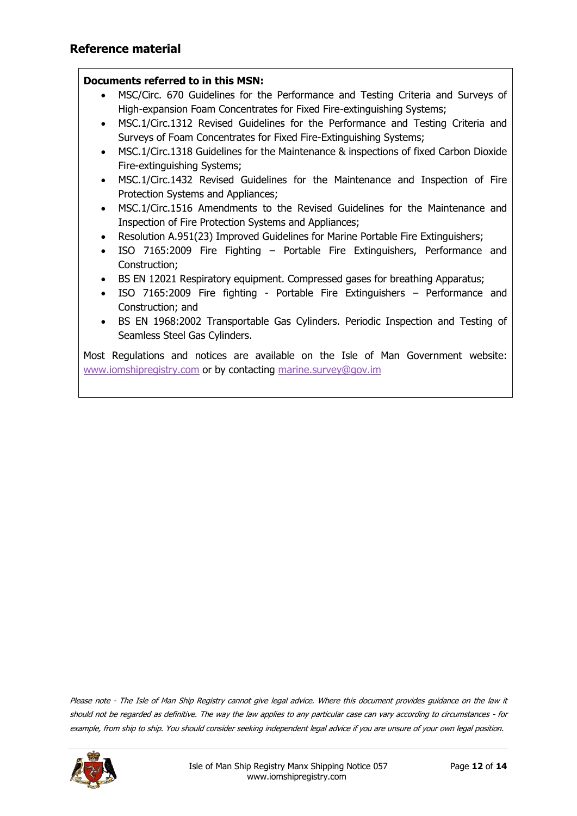#### **Documents referred to in this MSN:**

- MSC/Circ. 670 Guidelines for the Performance and Testing Criteria and Surveys of High-expansion Foam Concentrates for Fixed Fire-extinguishing Systems;
- MSC.1/Circ.1312 Revised Guidelines for the Performance and Testing Criteria and Surveys of Foam Concentrates for Fixed Fire-Extinguishing Systems;
- MSC.1/Circ.1318 Guidelines for the Maintenance & inspections of fixed Carbon Dioxide Fire-extinguishing Systems;
- MSC.1/Circ.1432 Revised Guidelines for the Maintenance and Inspection of Fire Protection Systems and Appliances;
- MSC.1/Circ.1516 Amendments to the Revised Guidelines for the Maintenance and Inspection of Fire Protection Systems and Appliances;
- Resolution A.951(23) Improved Guidelines for Marine Portable Fire Extinguishers;
- ISO 7165:2009 Fire Fighting Portable Fire Extinguishers, Performance and Construction;
- BS EN 12021 Respiratory equipment. Compressed gases for breathing Apparatus;
- ISO 7165:2009 Fire fighting Portable Fire Extinguishers Performance and Construction; and
- BS EN 1968:2002 Transportable Gas Cylinders. Periodic Inspection and Testing of Seamless Steel Gas Cylinders.

Most Regulations and notices are available on the Isle of Man Government website: [www.iomshipregistry.com](http://www.iomshipregistry.com/) or by contacting [marine.survey@gov.im](mailto:marine.survey@gov.im)

Please note - The Isle of Man Ship Registry cannot give legal advice. Where this document provides guidance on the law it should not be regarded as definitive. The way the law applies to any particular case can vary according to circumstances - for example, from ship to ship. You should consider seeking independent legal advice if you are unsure of your own legal position.

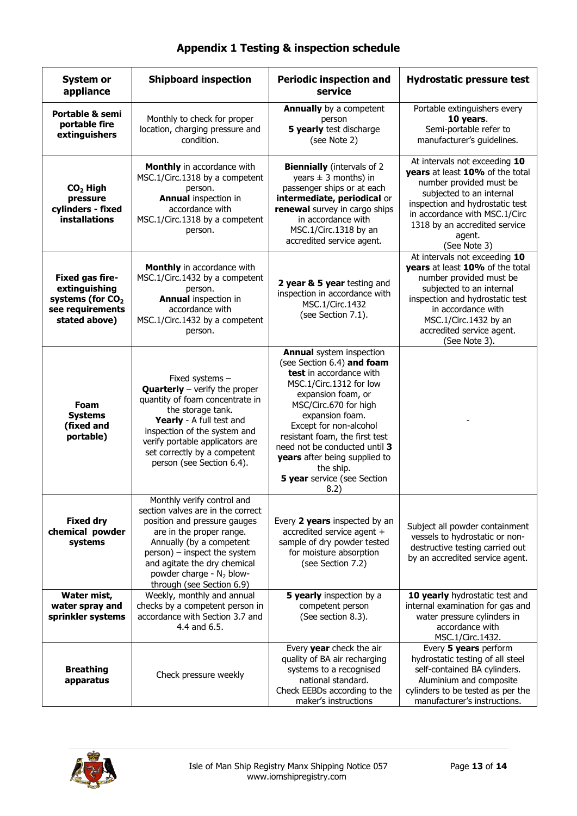| <b>System or</b><br>appliance                                                                         | <b>Shipboard inspection</b>                                                                                                                                                                                                                                                                  | <b>Periodic inspection and</b><br>service                                                                                                                                                                                                                                                                                                                               | <b>Hydrostatic pressure test</b>                                                                                                                                                                                                                        |
|-------------------------------------------------------------------------------------------------------|----------------------------------------------------------------------------------------------------------------------------------------------------------------------------------------------------------------------------------------------------------------------------------------------|-------------------------------------------------------------------------------------------------------------------------------------------------------------------------------------------------------------------------------------------------------------------------------------------------------------------------------------------------------------------------|---------------------------------------------------------------------------------------------------------------------------------------------------------------------------------------------------------------------------------------------------------|
| <b>Portable &amp; semi</b><br>portable fire<br>extinguishers                                          | Monthly to check for proper<br>location, charging pressure and<br>condition.                                                                                                                                                                                                                 | <b>Annually</b> by a competent<br>person<br>5 yearly test discharge<br>(see Note 2)                                                                                                                                                                                                                                                                                     | Portable extinguishers every<br>10 years.<br>Semi-portable refer to<br>manufacturer's guidelines.                                                                                                                                                       |
| $CO2$ High<br>pressure<br>cylinders - fixed<br><b>installations</b>                                   | Monthly in accordance with<br>MSC.1/Circ.1318 by a competent<br>person.<br><b>Annual inspection in</b><br>accordance with<br>MSC.1/Circ.1318 by a competent<br>person.                                                                                                                       | <b>Biennially</b> (intervals of 2<br>years $\pm$ 3 months) in<br>passenger ships or at each<br>intermediate, periodical or<br>renewal survey in cargo ships<br>in accordance with<br>MSC.1/Circ.1318 by an<br>accredited service agent.                                                                                                                                 | At intervals not exceeding 10<br>vears at least 10% of the total<br>number provided must be<br>subjected to an internal<br>inspection and hydrostatic test<br>in accordance with MSC.1/Circ<br>1318 by an accredited service<br>agent.<br>(See Note 3)  |
| Fixed gas fire-<br>extinguishing<br>systems (for CO <sub>2</sub><br>see requirements<br>stated above) | Monthly in accordance with<br>MSC.1/Circ.1432 by a competent<br>person.<br><b>Annual inspection in</b><br>accordance with<br>MSC.1/Circ.1432 by a competent<br>person.                                                                                                                       | 2 year & 5 year testing and<br>inspection in accordance with<br>MSC.1/Circ.1432<br>(see Section 7.1).                                                                                                                                                                                                                                                                   | At intervals not exceeding 10<br>years at least 10% of the total<br>number provided must be<br>subjected to an internal<br>inspection and hydrostatic test<br>in accordance with<br>MSC.1/Circ.1432 by an<br>accredited service agent.<br>(See Note 3). |
| Foam<br><b>Systems</b><br>(fixed and<br>portable)                                                     | Fixed systems -<br><b>Quarterly</b> $-$ verify the proper<br>quantity of foam concentrate in<br>the storage tank.<br>Yearly - A full test and<br>inspection of the system and<br>verify portable applicators are<br>set correctly by a competent<br>person (see Section 6.4).                | <b>Annual</b> system inspection<br>(see Section 6.4) and foam<br>test in accordance with<br>MSC.1/Circ.1312 for low<br>expansion foam, or<br>MSC/Circ.670 for high<br>expansion foam.<br>Except for non-alcohol<br>resistant foam, the first test<br>need not be conducted until 3<br>years after being supplied to<br>the ship.<br>5 year service (see Section<br>8.2) |                                                                                                                                                                                                                                                         |
| <b>Fixed dry</b><br>chemical powder<br>systems                                                        | Monthly verify control and<br>section valves are in the correct<br>position and pressure gauges<br>are in the proper range.<br>Annually (by a competent<br>person) - inspect the system<br>and agitate the dry chemical<br>powder charge - N <sub>2</sub> blow-<br>through (see Section 6.9) | Every 2 years inspected by an<br>accredited service agent +<br>sample of dry powder tested<br>for moisture absorption<br>(see Section 7.2)                                                                                                                                                                                                                              | Subject all powder containment<br>vessels to hydrostatic or non-<br>destructive testing carried out<br>by an accredited service agent.                                                                                                                  |
| Water mist,<br>water spray and<br>sprinkler systems                                                   | Weekly, monthly and annual<br>checks by a competent person in<br>accordance with Section 3.7 and<br>4.4 and 6.5.                                                                                                                                                                             | 5 yearly inspection by a<br>competent person<br>(See section 8.3).                                                                                                                                                                                                                                                                                                      | 10 yearly hydrostatic test and<br>internal examination for gas and<br>water pressure cylinders in<br>accordance with<br>MSC.1/Circ.1432.                                                                                                                |
| <b>Breathing</b><br>apparatus                                                                         | Check pressure weekly                                                                                                                                                                                                                                                                        | Every year check the air<br>quality of BA air recharging<br>systems to a recognised<br>national standard.<br>Check EEBDs according to the<br>maker's instructions                                                                                                                                                                                                       | Every 5 years perform<br>hydrostatic testing of all steel<br>self-contained BA cylinders.<br>Aluminium and composite<br>cylinders to be tested as per the<br>manufacturer's instructions.                                                               |

# **Appendix 1 Testing & inspection schedule**